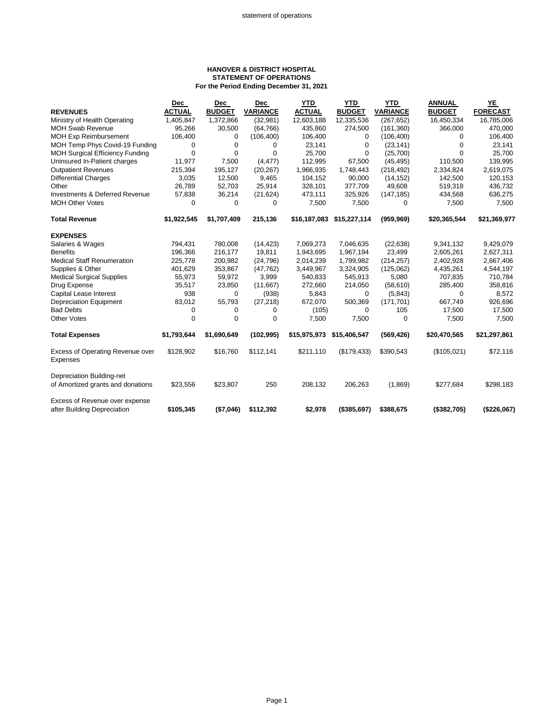## **HANOVER & DISTRICT HOSPITAL STATEMENT OF OPERATIONS For the Period Ending December 31, 2021**

|                                                                | <b>Dec</b>    | Dec           | <b>Dec</b>      | <b>YTD</b>    | <b>YTD</b>    | <b>YTD</b>      | <b>ANNUAL</b> | YE              |
|----------------------------------------------------------------|---------------|---------------|-----------------|---------------|---------------|-----------------|---------------|-----------------|
| <b>REVENUES</b>                                                | <b>ACTUAL</b> | <b>BUDGET</b> | <b>VARIANCE</b> | <b>ACTUAL</b> | <b>BUDGET</b> | <b>VARIANCE</b> | <b>BUDGET</b> | <b>FORECAST</b> |
| Ministry of Health Operating                                   | 1,405,847     | 1,372,866     | (32, 981)       | 12,603,188    | 12,335,536    | (267, 652)      | 16,450,334    | 16,785,006      |
| <b>MOH Swab Revenue</b>                                        | 95,266        | 30,500        | (64, 766)       | 435,860       | 274,500       | (161, 360)      | 366,000       | 470,000         |
| <b>MOH Exp Reimbursement</b>                                   | 106,400       | 0             | (106, 400)      | 106,400       | 0             | (106, 400)      | 0             | 106,400         |
| MOH Temp Phys Covid-19 Funding                                 | 0             | 0             | 0               | 23,141        | 0             | (23, 141)       | 0             | 23,141          |
| <b>MOH Surgical Efficiency Funding</b>                         | $\Omega$      | $\Omega$      | $\Omega$        | 25,700        | 0             | (25,700)        | $\Omega$      | 25,700          |
| Uninsured In-Patient charges                                   | 11,977        | 7,500         | (4, 477)        | 112,995       | 67,500        | (45, 495)       | 110,500       | 139,995         |
| <b>Outpatient Revenues</b>                                     | 215,394       | 195,127       | (20, 267)       | 1,966,935     | 1,748,443     | (218, 492)      | 2,334,824     | 2,619,075       |
| <b>Differential Charges</b>                                    | 3,035         | 12,500        | 9,465           | 104,152       | 90,000        | (14, 152)       | 142,500       | 120,153         |
| Other                                                          | 26,789        | 52,703        | 25,914          | 328,101       | 377,709       | 49,608          | 519,318       | 436,732         |
| Investments & Deferred Revenue                                 | 57,838        | 36,214        | (21, 624)       | 473,111       | 325,926       | (147, 185)      | 434,568       | 636,275         |
| <b>MOH Other Votes</b>                                         | 0             | $\Omega$      | 0               | 7,500         | 7,500         | 0               | 7,500         | 7,500           |
| <b>Total Revenue</b>                                           | \$1,922,545   | \$1,707,409   | 215,136         | \$16,187,083  | \$15,227,114  | (959, 969)      | \$20,365,544  | \$21,369,977    |
| <b>EXPENSES</b>                                                |               |               |                 |               |               |                 |               |                 |
| Salaries & Wages                                               | 794,431       | 780,008       | (14, 423)       | 7,069,273     | 7,046,635     | (22, 638)       | 9,341,132     | 9,429,079       |
| <b>Benefits</b>                                                | 196,366       | 216,177       | 19,811          | 1,943,695     | 1,967,194     | 23,499          | 2,605,261     | 2,627,311       |
| <b>Medical Staff Renumeration</b>                              | 225,778       | 200,982       | (24, 796)       | 2,014,239     | 1,799,982     | (214, 257)      | 2,402,928     | 2,667,406       |
| Supplies & Other                                               | 401,629       | 353,867       | (47, 762)       | 3,449,967     | 3,324,905     | (125,062)       | 4,435,261     | 4,544,197       |
| <b>Medical Surgical Supplies</b>                               | 55,973        | 59,972        | 3,999           | 540,833       | 545,913       | 5,080           | 707,835       | 710,784         |
| Drug Expense                                                   | 35,517        | 23,850        | (11,667)        | 272,660       | 214,050       | (58, 610)       | 285,400       | 358,816         |
| Capital Lease Interest                                         | 938           | 0             | (938)           | 5,843         | 0             | (5,843)         | 0             | 8,572           |
| <b>Depreciation Equipment</b>                                  | 83,012        | 55,793        | (27, 218)       | 672,070       | 500,369       | (171, 701)      | 667,749       | 926,696         |
| <b>Bad Debts</b>                                               | 0             | 0             | 0               | (105)         | 0             | 105             | 17,500        | 17,500          |
| <b>Other Votes</b>                                             | $\Omega$      | $\Omega$      | 0               | 7,500         | 7,500         | 0               | 7,500         | 7,500           |
| <b>Total Expenses</b>                                          | \$1,793,644   | \$1,690,649   | (102, 995)      | \$15,975,973  | \$15,406,547  | (569, 426)      | \$20,470,565  | \$21,297,861    |
| Excess of Operating Revenue over<br><b>Expenses</b>            | \$128,902     | \$16,760      | \$112,141       | \$211,110     | (\$179,433)   | \$390,543       | (\$105,021)   | \$72,116        |
| Depreciation Building-net<br>of Amortized grants and donations | \$23,556      | \$23,807      | 250             | 208,132       | 206,263       | (1,869)         | \$277,684     | \$298,183       |
|                                                                |               |               |                 |               |               |                 |               |                 |
| Excess of Revenue over expense<br>after Building Depreciation  | \$105,345     | (\$7,046)     | \$112,392       | \$2,978       | (\$385,697)   | \$388,675       | (\$382,705)   | (\$226,067)     |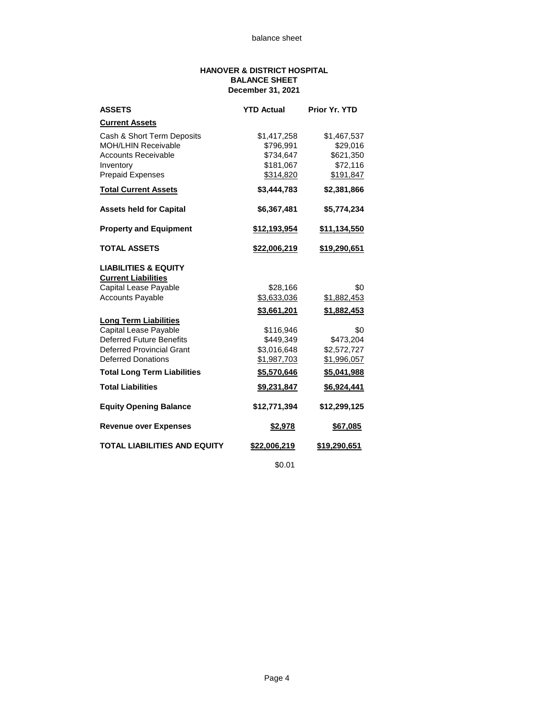## **HANOVER & DISTRICT HOSPITAL BALANCE SHEET December 31, 2021**

| <b>ASSETS</b>                       | <b>YTD Actual</b>  | Prior Yr. YTD       |
|-------------------------------------|--------------------|---------------------|
| <b>Current Assets</b>               |                    |                     |
| Cash & Short Term Deposits          | \$1,417,258        | \$1,467,537         |
| <b>MOH/LHIN Receivable</b>          | \$796,991          | \$29,016            |
| <b>Accounts Receivable</b>          | \$734,647          | \$621,350           |
| Inventory                           | \$181,067          | \$72,116            |
| <b>Prepaid Expenses</b>             | \$314,820          | \$191,847           |
| <b>Total Current Assets</b>         | \$3,444,783        | \$2,381,866         |
| <b>Assets held for Capital</b>      | \$6,367,481        | \$5,774,234         |
| <b>Property and Equipment</b>       | \$12,193,954       | <u>\$11,134,550</u> |
| <b>TOTAL ASSETS</b>                 | \$22,006,219       | \$19,290,651        |
| <b>LIABILITIES &amp; EQUITY</b>     |                    |                     |
| <b>Current Liabilities</b>          |                    |                     |
| Capital Lease Payable               | \$28,166           | \$0                 |
| <b>Accounts Payable</b>             | \$3,633,036        | \$1,882,453         |
|                                     | <u>\$3,661,201</u> | <u>\$1,882,453</u>  |
| <b>Long Term Liabilities</b>        |                    |                     |
| Capital Lease Payable               | \$116.946          | \$0                 |
| <b>Deferred Future Benefits</b>     | \$449.349          | \$473,204           |
| <b>Deferred Provincial Grant</b>    | \$3,016,648        | \$2,572,727         |
| <b>Deferred Donations</b>           | \$1,987,703        | \$1,996,057         |
| <b>Total Long Term Liabilities</b>  | \$5,570,646        | \$5,041,988         |
| <b>Total Liabilities</b>            | <u>\$9,231,847</u> | <u>\$6,924,441</u>  |
| <b>Equity Opening Balance</b>       | \$12,771,394       | \$12,299,125        |
| <b>Revenue over Expenses</b>        | \$2,978            | \$67,085            |
| <b>TOTAL LIABILITIES AND EQUITY</b> | \$22,006,219       | \$19,290,651        |

\$0.01